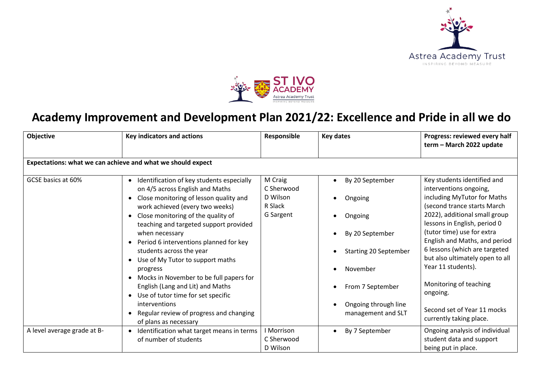



## **Academy Improvement and Development Plan 2021/22: Excellence and Pride in all we do**

| Objective                                                   | Key indicators and actions                                                                                                                                                                                                                                                                                                                                                                                                                                                                                                                                                                                                         | Responsible                                               | Key dates                                                                                                                                                       | Progress: reviewed every half<br>term - March 2022 update                                                                                                                                                                                                                                                                                                                                                                                     |  |
|-------------------------------------------------------------|------------------------------------------------------------------------------------------------------------------------------------------------------------------------------------------------------------------------------------------------------------------------------------------------------------------------------------------------------------------------------------------------------------------------------------------------------------------------------------------------------------------------------------------------------------------------------------------------------------------------------------|-----------------------------------------------------------|-----------------------------------------------------------------------------------------------------------------------------------------------------------------|-----------------------------------------------------------------------------------------------------------------------------------------------------------------------------------------------------------------------------------------------------------------------------------------------------------------------------------------------------------------------------------------------------------------------------------------------|--|
| Expectations: what we can achieve and what we should expect |                                                                                                                                                                                                                                                                                                                                                                                                                                                                                                                                                                                                                                    |                                                           |                                                                                                                                                                 |                                                                                                                                                                                                                                                                                                                                                                                                                                               |  |
| GCSE basics at 60%                                          | Identification of key students especially<br>$\bullet$<br>on 4/5 across English and Maths<br>Close monitoring of lesson quality and<br>$\bullet$<br>work achieved (every two weeks)<br>Close monitoring of the quality of<br>teaching and targeted support provided<br>when necessary<br>Period 6 interventions planned for key<br>students across the year<br>Use of My Tutor to support maths<br>progress<br>Mocks in November to be full papers for<br>$\bullet$<br>English (Lang and Lit) and Maths<br>Use of tutor time for set specific<br>interventions<br>Regular review of progress and changing<br>of plans as necessary | M Craig<br>C Sherwood<br>D Wilson<br>R Slack<br>G Sargent | By 20 September<br>Ongoing<br>Ongoing<br>By 20 September<br>Starting 20 September<br>November<br>From 7 September<br>Ongoing through line<br>management and SLT | Key students identified and<br>interventions ongoing,<br>including MyTutor for Maths<br>(second trance starts March<br>2022), additional small group<br>lessons in English, period 0<br>(tutor time) use for extra<br>English and Maths, and period<br>6 lessons (which are targeted<br>but also ultimately open to all<br>Year 11 students).<br>Monitoring of teaching<br>ongoing.<br>Second set of Year 11 mocks<br>currently taking place. |  |
| A level average grade at B-                                 | Identification what target means in terms<br>$\bullet$<br>of number of students                                                                                                                                                                                                                                                                                                                                                                                                                                                                                                                                                    | I Morrison<br>C Sherwood<br>D Wilson                      | By 7 September                                                                                                                                                  | Ongoing analysis of individual<br>student data and support<br>being put in place.                                                                                                                                                                                                                                                                                                                                                             |  |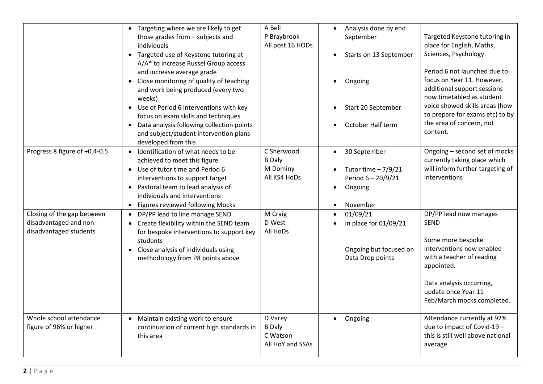|                                                                                | • Targeting where we are likely to get<br>those grades from - subjects and<br>individuals<br>• Targeted use of Keystone tutoring at<br>A/A* to increase Russel Group access<br>and increase average grade<br>• Close monitoring of quality of teaching<br>and work being produced (every two<br>weeks)<br>• Use of Period 6 interventions with key<br>focus on exam skills and techniques<br>• Data analysis following collection points<br>and subject/student intervention plans<br>developed from this | A Bell<br>P Braybrook<br>All post 16 HODs                | Analysis done by end<br>September<br>Starts on 13 September<br>Ongoing<br>Start 20 September<br>October Half term      | Targeted Keystone tutoring in<br>place for English, Maths,<br>Sciences, Psychology.<br>Period 6 not launched due to<br>focus on Year 11. However,<br>additional support sessions<br>now timetabled as student<br>voice showed skills areas (how<br>to prepare for exams etc) to by<br>the area of concern, not<br>content. |
|--------------------------------------------------------------------------------|-----------------------------------------------------------------------------------------------------------------------------------------------------------------------------------------------------------------------------------------------------------------------------------------------------------------------------------------------------------------------------------------------------------------------------------------------------------------------------------------------------------|----------------------------------------------------------|------------------------------------------------------------------------------------------------------------------------|----------------------------------------------------------------------------------------------------------------------------------------------------------------------------------------------------------------------------------------------------------------------------------------------------------------------------|
| Progress 8 figure of +0.4-0.5                                                  | • Identification of what needs to be<br>achieved to meet this figure<br>• Use of tutor time and Period 6<br>interventions to support target<br>• Pastoral team to lead analysis of<br>individuals and interventions<br>• Figures reviewed following Mocks                                                                                                                                                                                                                                                 | C Sherwood<br><b>B</b> Daly<br>M Dominy<br>All KS4 HoDs  | 30 September<br>$\bullet$<br>Tutor time $-7/9/21$<br>Period 6-20/9/21<br>Ongoing<br>$\bullet$<br>November<br>$\bullet$ | Ongoing - second set of mocks<br>currently taking place which<br>will inform further targeting of<br>interventions                                                                                                                                                                                                         |
| Closing of the gap between<br>disadvantaged and non-<br>disadvantaged students | • DP/PP lead to line manage SEND<br>Create flexibility within the SEND team<br>for bespoke interventions to support key<br>students<br>• Close analysis of individuals using<br>methodology from P8 points above                                                                                                                                                                                                                                                                                          | M Craig<br>D West<br>All HoDs                            | 01/09/21<br>In place for 01/09/21<br>Ongoing but focused on<br>Data Drop points                                        | DP/PP lead now manages<br><b>SEND</b><br>Some more bespoke<br>interventions now enabled<br>with a teacher of reading<br>appointed.<br>Data analysis occurring,<br>update once Year 11<br>Feb/March mocks completed.                                                                                                        |
| Whole school attendance<br>figure of 96% or higher                             | Maintain existing work to ensure<br>continuation of current high standards in<br>this area                                                                                                                                                                                                                                                                                                                                                                                                                | D Varey<br><b>B</b> Daly<br>C Watson<br>All HoY and SSAs | Ongoing<br>$\bullet$                                                                                                   | Attendance currently at 92%<br>due to impact of Covid-19 -<br>this is still well above national<br>average.                                                                                                                                                                                                                |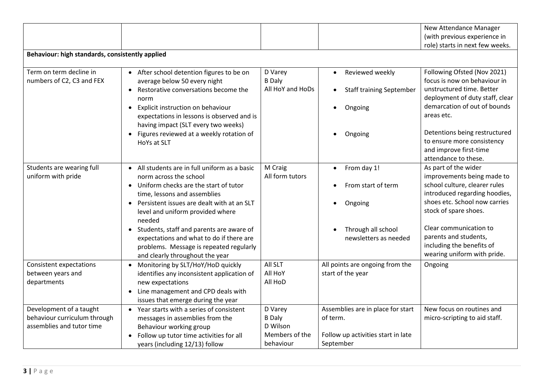|                                                           |                                               |                           |                                              | New Attendance Manager                               |
|-----------------------------------------------------------|-----------------------------------------------|---------------------------|----------------------------------------------|------------------------------------------------------|
|                                                           |                                               |                           |                                              | (with previous experience in                         |
|                                                           |                                               |                           |                                              | role) starts in next few weeks.                      |
| Behaviour: high standards, consistently applied           |                                               |                           |                                              |                                                      |
| Term on term decline in                                   | • After school detention figures to be on     | D Varey                   | Reviewed weekly<br>$\bullet$                 | Following Ofsted (Nov 2021)                          |
| numbers of C2, C3 and FEX                                 | average below 50 every night                  | <b>B</b> Daly             |                                              | focus is now on behaviour in                         |
|                                                           | • Restorative conversations become the        | All HoY and HoDs          | <b>Staff training September</b><br>$\bullet$ | unstructured time. Better                            |
|                                                           | norm                                          |                           |                                              | deployment of duty staff, clear                      |
|                                                           | • Explicit instruction on behaviour           |                           | Ongoing<br>$\bullet$                         | demarcation of out of bounds                         |
|                                                           | expectations in lessons is observed and is    |                           |                                              | areas etc.                                           |
|                                                           | having impact (SLT every two weeks)           |                           |                                              |                                                      |
|                                                           | • Figures reviewed at a weekly rotation of    |                           | Ongoing<br>$\bullet$                         | Detentions being restructured                        |
|                                                           | HoYs at SLT                                   |                           |                                              | to ensure more consistency<br>and improve first-time |
|                                                           |                                               |                           |                                              | attendance to these.                                 |
| Students are wearing full                                 | • All students are in full uniform as a basic | M Craig                   | From day 1!<br>$\bullet$                     | As part of the wider                                 |
| uniform with pride                                        | norm across the school                        | All form tutors           |                                              | improvements being made to                           |
|                                                           | • Uniform checks are the start of tutor       |                           | From start of term                           | school culture, clearer rules                        |
|                                                           | time, lessons and assemblies                  |                           |                                              | introduced regarding hoodies,                        |
|                                                           | • Persistent issues are dealt with at an SLT  |                           | Ongoing                                      | shoes etc. School now carries                        |
|                                                           | level and uniform provided where              |                           |                                              | stock of spare shoes.                                |
|                                                           | needed                                        |                           |                                              |                                                      |
|                                                           | • Students, staff and parents are aware of    |                           | Through all school                           | Clear communication to                               |
|                                                           | expectations and what to do if there are      |                           | newsletters as needed                        | parents and students,                                |
|                                                           | problems. Message is repeated regularly       |                           |                                              | including the benefits of                            |
|                                                           | and clearly throughout the year               |                           |                                              | wearing uniform with pride.                          |
| <b>Consistent expectations</b>                            | • Monitoring by SLT/HoY/HoD quickly           | All SLT                   | All points are ongoing from the              | Ongoing                                              |
| between years and                                         | identifies any inconsistent application of    | All HoY                   | start of the year                            |                                                      |
| departments                                               | new expectations                              | All HoD                   |                                              |                                                      |
|                                                           | Line management and CPD deals with            |                           |                                              |                                                      |
|                                                           | issues that emerge during the year            |                           |                                              |                                                      |
| Development of a taught                                   | • Year starts with a series of consistent     | D Varey                   | Assemblies are in place for start            | New focus on routines and                            |
| behaviour curriculum through<br>assemblies and tutor time | messages in assemblies from the               | <b>B</b> Daly<br>D Wilson | of term.                                     | micro-scripting to aid staff.                        |
|                                                           | Behaviour working group                       | Members of the            |                                              |                                                      |
|                                                           | Follow up tutor time activities for all       | behaviour                 | Follow up activities start in late           |                                                      |
|                                                           | years (including 12/13) follow                |                           | September                                    |                                                      |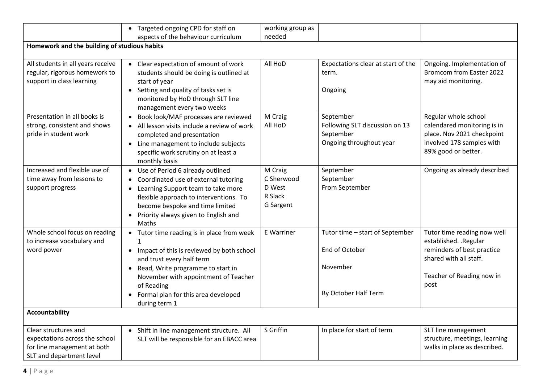|                                              | • Targeted ongoing CPD for staff on                                                                                                                                  | working group as               |                                    |                                                      |
|----------------------------------------------|----------------------------------------------------------------------------------------------------------------------------------------------------------------------|--------------------------------|------------------------------------|------------------------------------------------------|
|                                              | aspects of the behaviour curriculum                                                                                                                                  | needed                         |                                    |                                                      |
| Homework and the building of studious habits |                                                                                                                                                                      |                                |                                    |                                                      |
| All students in all years receive            | Clear expectation of amount of work                                                                                                                                  | All HoD                        | Expectations clear at start of the | Ongoing. Implementation of                           |
| regular, rigorous homework to                | students should be doing is outlined at                                                                                                                              |                                | term.                              | Bromcom from Easter 2022                             |
| support in class learning                    | start of year                                                                                                                                                        |                                |                                    | may aid monitoring.                                  |
|                                              | • Setting and quality of tasks set is<br>monitored by HoD through SLT line<br>management every two weeks                                                             |                                | Ongoing                            |                                                      |
| Presentation in all books is                 | • Book look/MAF processes are reviewed                                                                                                                               | M Craig                        | September                          | Regular whole school                                 |
| strong, consistent and shows                 | • All lesson visits include a review of work                                                                                                                         | All HoD                        | Following SLT discussion on 13     | calendared monitoring is in                          |
| pride in student work                        | completed and presentation                                                                                                                                           |                                | September                          | place. Nov 2021 checkpoint                           |
|                                              | Line management to include subjects<br>$\bullet$                                                                                                                     |                                | Ongoing throughout year            | involved 178 samples with                            |
|                                              | specific work scrutiny on at least a<br>monthly basis                                                                                                                |                                |                                    | 89% good or better.                                  |
| Increased and flexible use of                | • Use of Period 6 already outlined                                                                                                                                   | M Craig                        | September                          | Ongoing as already described                         |
| time away from lessons to                    | Coordinated use of external tutoring                                                                                                                                 | C Sherwood                     | September                          |                                                      |
| support progress                             | Learning Support team to take more<br>flexible approach to interventions. To<br>become bespoke and time limited<br>Priority always given to English and<br>$\bullet$ | D West<br>R Slack<br>G Sargent | From September                     |                                                      |
|                                              | Maths                                                                                                                                                                |                                |                                    |                                                      |
| Whole school focus on reading                | • Tutor time reading is in place from week<br>1                                                                                                                      | E Warriner                     | Tutor time - start of September    | Tutor time reading now well<br>established. .Regular |
| to increase vocabulary and<br>word power     |                                                                                                                                                                      |                                | End of October                     | reminders of best practice                           |
|                                              | Impact of this is reviewed by both school<br>and trust every half term                                                                                               |                                |                                    | shared with all staff.                               |
|                                              | Read, Write programme to start in<br>$\bullet$                                                                                                                       |                                | November                           |                                                      |
|                                              | November with appointment of Teacher                                                                                                                                 |                                |                                    | Teacher of Reading now in                            |
|                                              | of Reading                                                                                                                                                           |                                |                                    | post                                                 |
|                                              | Formal plan for this area developed<br>during term 1                                                                                                                 |                                | By October Half Term               |                                                      |
| <b>Accountability</b>                        |                                                                                                                                                                      |                                |                                    |                                                      |
| Clear structures and                         | Shift in line management structure. All                                                                                                                              | S Griffin                      | In place for start of term         | SLT line management                                  |
| expectations across the school               | SLT will be responsible for an EBACC area                                                                                                                            |                                |                                    | structure, meetings, learning                        |
| for line management at both                  |                                                                                                                                                                      |                                |                                    | walks in place as described.                         |
| SLT and department level                     |                                                                                                                                                                      |                                |                                    |                                                      |